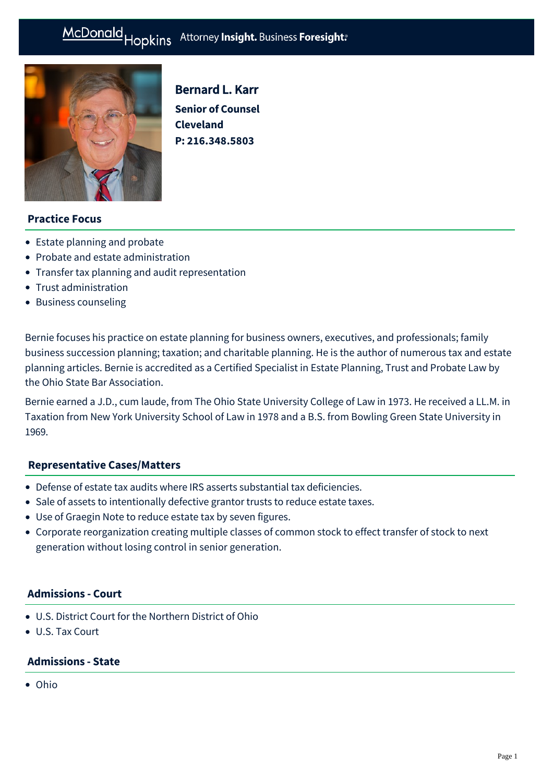#### Hopkins Attorney Insight. Business Foresight: McDonald



Bernard L. Karr **Senior of Counsel Cleveland P: [216.348.5803](tel:216.348.5803)**

# **Practice Focus**

- [Estate planning and probate](https://mcdonaldhopkins.com/Expertise/Estate-planning-and-probate)
- [Probate and estate administration](https://mcdonaldhopkins.com/Expertise/Estate-planning-and-probate/Probate-and-estate-administration)
- [Transfer tax planning and audit representation](https://mcdonaldhopkins.com/Expertise/Estate-planning-and-probate/Transfer-tax-planning-and-audit-representation)
- [Trust administration](https://mcdonaldhopkins.com/Expertise/Estate-planning-and-probate/Trust-administration)
- [Business counseling](https://mcdonaldhopkins.com/Expertise/Business-counseling)

Bernie focuses his practice on estate planning for business owners, executives, and professionals; family business succession planning; taxation; and charitable planning. He is the author of numerous tax and estate planning articles. Bernie is accredited as a Certified Specialist in Estate Planning, Trust and Probate Law by the Ohio State Bar Association.

Bernie earned a J.D., cum laude, from The Ohio State University College of Law in 1973. He received a LL.M. in Taxation from New York University School of Law in 1978 and a B.S. from Bowling Green State University in 1969.

### **[Representative Cases/Matters](#page-0-0)**

- <span id="page-0-0"></span>Defense of estate tax audits where IRS asserts substantial tax deficiencies.
- Sale of assets to intentionally defective grantor trusts to reduce estate taxes.
- Use of Graegin Note to reduce estate tax by seven figures.
- Corporate reorganization creating multiple classes of common stock to effect transfer of stock to next generation without losing control in senior generation.

#### **Admissions - Court**

- U.S. District Court for the Northern District of Ohio
- U.S. Tax Court

# **Admissions - State**

Ohio